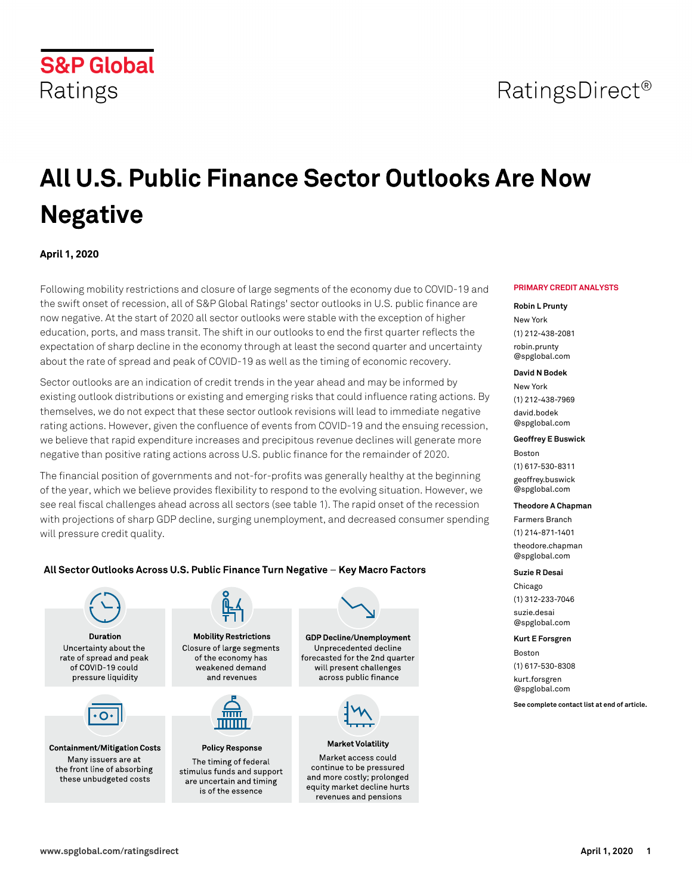# RatingsDirect<sup>®</sup>

# **All U.S. Public Finance Sector Outlooks Are Now Negative**

# **April 1, 2020**

**S&P Global** 

Ratings

Following mobility restrictions and closure of large segments of the economy due to COVID-19 and the swift onset of recession, all of S&P Global Ratings' sector outlooks in U.S. public finance are now negative. At the start of 2020 all sector outlooks were stable with the exception of higher education, ports, and mass transit. The shift in our outlooks to end the first quarter reflects the expectation of sharp decline in the economy through at least the second quarter and uncertainty about the rate of spread and peak of COVID-19 as well as the timing of economic recovery.

Sector outlooks are an indication of credit trends in the year ahead and may be informed by existing outlook distributions or existing and emerging risks that could influence rating actions. By themselves, we do not expect that these sector outlook revisions will lead to immediate negative rating actions. However, given the confluence of events from COVID-19 and the ensuing recession, we believe that rapid expenditure increases and precipitous revenue declines will generate more negative than positive rating actions across U.S. public finance for the remainder of 2020.

The financial position of governments and not-for-profits was generally healthy at the beginning of the year, which we believe provides flexibility to respond to the evolving situation. However, we see real fiscal challenges ahead across all sectors (see table 1). The rapid onset of the recession with projections of sharp GDP decline, surging unemployment, and decreased consumer spending will pressure credit quality.

revenues and pensions

#### All Sector Outlooks Across U.S. Public Finance Turn Negative - Key Macro Factors



#### **PRIMARY CREDIT ANALYSTS**

#### **Robin L Prunty**

New York (1) 212-438-2081 [robin.prunty](mailto: robin.prunty@spglobal.com) [@spglobal.com](mailto: robin.prunty@spglobal.com)

#### **David N Bodek**

New York (1) 212-438-7969 [david.bodek](mailto: david.bodek@spglobal.com) [@spglobal.com](mailto: david.bodek@spglobal.com)

#### **Geoffrey E Buswick**

Boston (1) 617-530-8311 [geoffrey.buswick](mailto: geoffrey.buswick@spglobal.com) [@spglobal.com](mailto: geoffrey.buswick@spglobal.com)

#### **Theodore A Chapman**

Farmers Branch (1) 214-871-1401 [theodore.chapman](mailto: theodore.chapman@spglobal.com) [@spglobal.com](mailto: theodore.chapman@spglobal.com)

#### **Suzie R Desai**

Chicago (1) 312-233-7046 [suzie.desai](mailto: suzie.desai@spglobal.com) [@spglobal.com](mailto: suzie.desai@spglobal.com)

#### **Kurt E Forsgren**

Boston (1) 617-530-8308 [kurt.forsgren](mailto: kurt.forsgren@spglobal.com)

[@spglobal.com](mailto: kurt.forsgren@spglobal.com)

**See complete contact list at end of article.**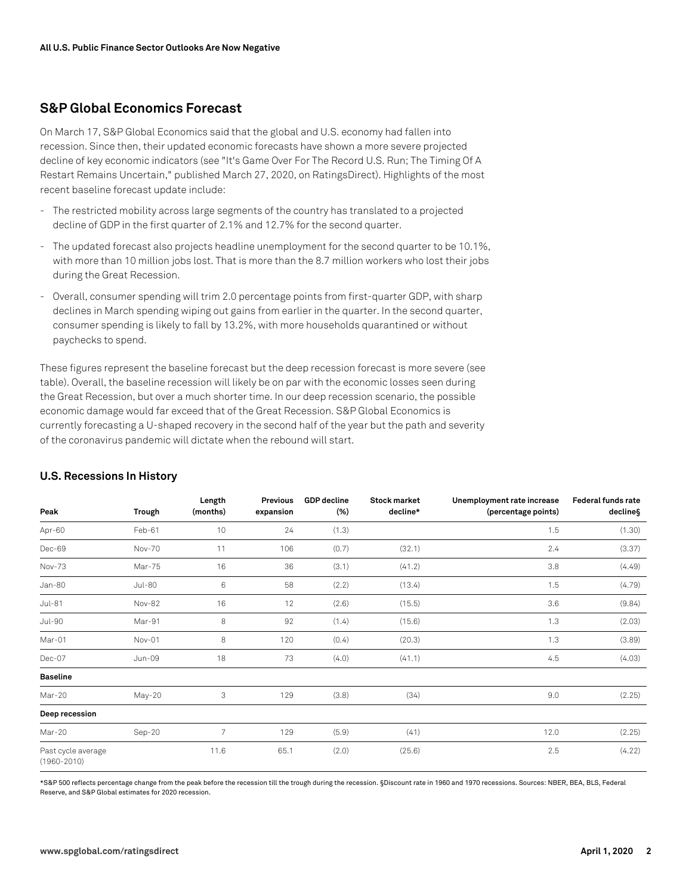#### **S&P Global Economics Forecast**

On March 17, S&P Global Economics said that the global and U.S. economy had fallen into recession. Since then, their updated economic forecasts have shown a more severe projected decline of key economic indicators (see "It's Game Over For The Record U.S. Run; The Timing Of A Restart Remains Uncertain," published March 27, 2020, on RatingsDirect). Highlights of the most recent baseline forecast update include:

- The restricted mobility across large segments of the country has translated to a projected decline of GDP in the first quarter of 2.1% and 12.7% for the second quarter.
- The updated forecast also projects headline unemployment for the second quarter to be 10.1%, with more than 10 million jobs lost. That is more than the 8.7 million workers who lost their jobs during the Great Recession.
- Overall, consumer spending will trim 2.0 percentage points from first-quarter GDP, with sharp declines in March spending wiping out gains from earlier in the quarter. In the second quarter, consumer spending is likely to fall by 13.2%, with more households quarantined or without paychecks to spend.

These figures represent the baseline forecast but the deep recession forecast is more severe (see table). Overall, the baseline recession will likely be on par with the economic losses seen during the Great Recession, but over a much shorter time. In our deep recession scenario, the possible economic damage would far exceed that of the Great Recession. S&P Global Economics is currently forecasting a U-shaped recovery in the second half of the year but the path and severity of the coronavirus pandemic will dictate when the rebound will start.

| Peak                                  | <b>Trough</b> | Length<br>(months) | Previous<br>expansion | <b>GDP</b> decline<br>(%) | <b>Stock market</b><br>decline* | Unemployment rate increase<br>(percentage points) | <b>Federal funds rate</b><br>decline§ |
|---------------------------------------|---------------|--------------------|-----------------------|---------------------------|---------------------------------|---------------------------------------------------|---------------------------------------|
| Apr-60                                | Feb-61        | 10                 | 24                    | (1.3)                     |                                 | 1.5                                               | (1.30)                                |
| Dec-69                                | Nov-70        | 11                 | 106                   | (0.7)                     | (32.1)                          | 2.4                                               | (3.37)                                |
| Nov-73                                | Mar-75        | 16                 | 36                    | (3.1)                     | (41.2)                          | 3.8                                               | (4.49)                                |
| Jan-80                                | <b>Jul-80</b> | 6                  | 58                    | (2.2)                     | (13.4)                          | 1.5                                               | (4.79)                                |
| $Jul-81$                              | Nov-82        | 16                 | 12                    | (2.6)                     | (15.5)                          | 3.6                                               | (9.84)                                |
| <b>Jul-90</b>                         | Mar-91        | 8                  | 92                    | (1.4)                     | (15.6)                          | 1.3                                               | (2.03)                                |
| Mar-01                                | Nov-01        | 8                  | 120                   | (0.4)                     | (20.3)                          | 1.3                                               | (3.89)                                |
| Dec-07                                | $Jun-09$      | 18                 | 73                    | (4.0)                     | (41.1)                          | 4.5                                               | (4.03)                                |
| <b>Baseline</b>                       |               |                    |                       |                           |                                 |                                                   |                                       |
| Mar-20                                | May-20        | 3                  | 129                   | (3.8)                     | (34)                            | 9.0                                               | (2.25)                                |
| Deep recession                        |               |                    |                       |                           |                                 |                                                   |                                       |
| Mar-20                                | Sep-20        | $\overline{7}$     | 129                   | (5.9)                     | (41)                            | 12.0                                              | (2.25)                                |
| Past cycle average<br>$(1960 - 2010)$ |               | 11.6               | 65.1                  | (2.0)                     | (25.6)                          | 2.5                                               | (4.22)                                |

#### **U.S. Recessions In History**

\*S&P 500 reflects percentage change from the peak before the recession till the trough during the recession. §Discount rate in 1960 and 1970 recessions. Sources: NBER, BEA, BLS, Federal Reserve, and S&P Global estimates for 2020 recession.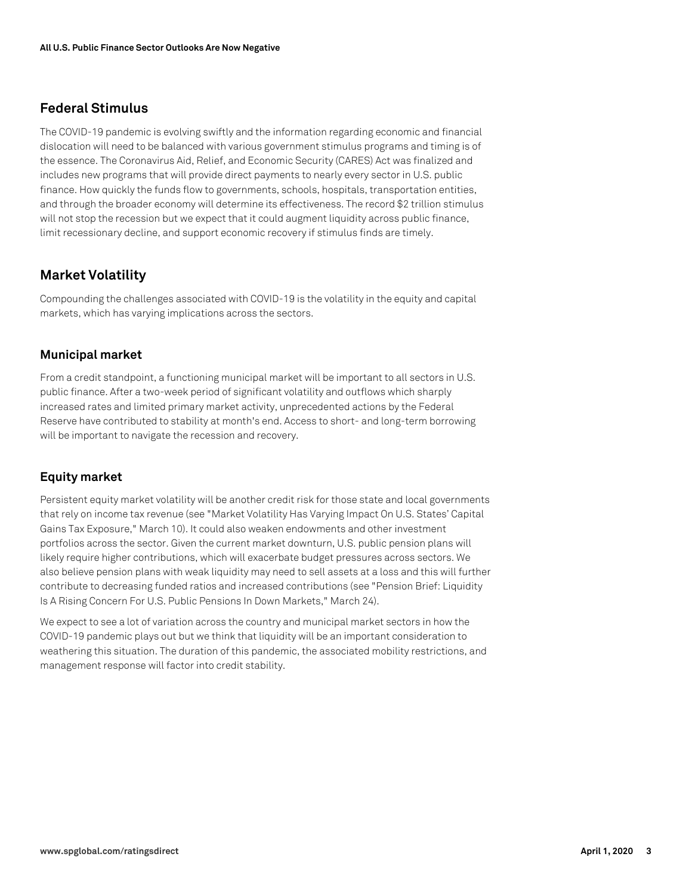### **Federal Stimulus**

The COVID-19 pandemic is evolving swiftly and the information regarding economic and financial dislocation will need to be balanced with various government stimulus programs and timing is of the essence. The Coronavirus Aid, Relief, and Economic Security (CARES) Act was finalized and includes new programs that will provide direct payments to nearly every sector in U.S. public finance. How quickly the funds flow to governments, schools, hospitals, transportation entities, and through the broader economy will determine its effectiveness. The record \$2 trillion stimulus will not stop the recession but we expect that it could augment liquidity across public finance, limit recessionary decline, and support economic recovery if stimulus finds are timely.

# **Market Volatility**

Compounding the challenges associated with COVID-19 is the volatility in the equity and capital markets, which has varying implications across the sectors.

#### **Municipal market**

From a credit standpoint, a functioning municipal market will be important to all sectors in U.S. public finance. After a two-week period of significant volatility and outflows which sharply increased rates and limited primary market activity, unprecedented actions by the Federal Reserve have contributed to stability at month's end. Access to short- and long-term borrowing will be important to navigate the recession and recovery.

#### **Equity market**

Persistent equity market volatility will be another credit risk for those state and local governments that rely on income tax revenue (see "Market Volatility Has Varying Impact On U.S. States' Capital Gains Tax Exposure," March 10). It could also weaken endowments and other investment portfolios across the sector. Given the current market downturn, U.S. public pension plans will likely require higher contributions, which will exacerbate budget pressures across sectors. We also believe pension plans with weak liquidity may need to sell assets at a loss and this will further contribute to decreasing funded ratios and increased contributions (see "Pension Brief: Liquidity Is A Rising Concern For U.S. Public Pensions In Down Markets," March 24).

We expect to see a lot of variation across the country and municipal market sectors in how the COVID-19 pandemic plays out but we think that liquidity will be an important consideration to weathering this situation. The duration of this pandemic, the associated mobility restrictions, and management response will factor into credit stability.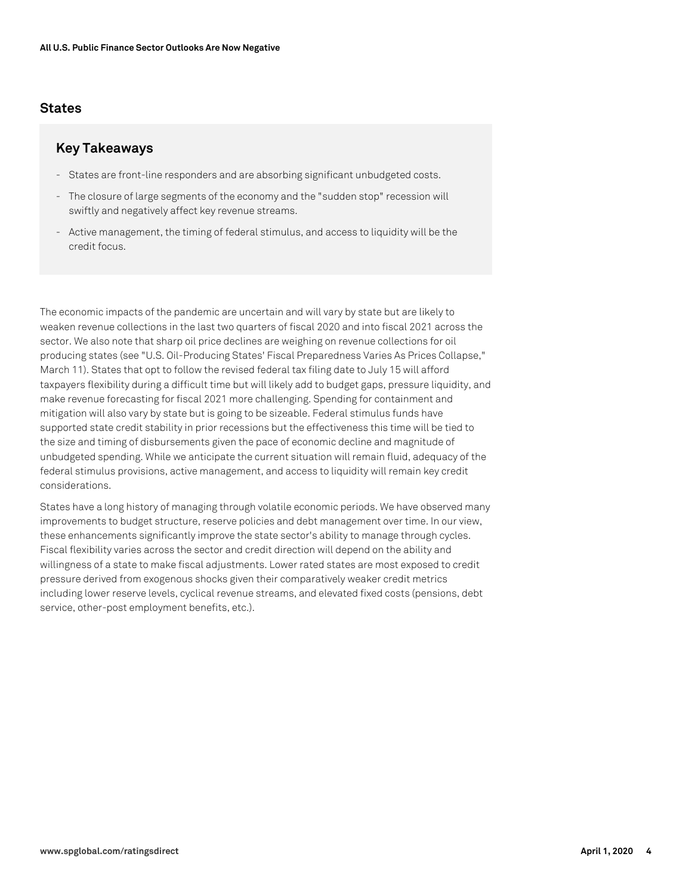#### **States**

#### **Key Takeaways**

- States are front-line responders and are absorbing significant unbudgeted costs.
- The closure of large segments of the economy and the "sudden stop" recession will swiftly and negatively affect key revenue streams.
- Active management, the timing of federal stimulus, and access to liquidity will be the credit focus.

The economic impacts of the pandemic are uncertain and will vary by state but are likely to weaken revenue collections in the last two quarters of fiscal 2020 and into fiscal 2021 across the sector. We also note that sharp oil price declines are weighing on revenue collections for oil producing states (see "U.S. Oil-Producing States' Fiscal Preparedness Varies As Prices Collapse," March 11). States that opt to follow the revised federal tax filing date to July 15 will afford taxpayers flexibility during a difficult time but will likely add to budget gaps, pressure liquidity, and make revenue forecasting for fiscal 2021 more challenging. Spending for containment and mitigation will also vary by state but is going to be sizeable. Federal stimulus funds have supported state credit stability in prior recessions but the effectiveness this time will be tied to the size and timing of disbursements given the pace of economic decline and magnitude of unbudgeted spending. While we anticipate the current situation will remain fluid, adequacy of the federal stimulus provisions, active management, and access to liquidity will remain key credit considerations.

States have a long history of managing through volatile economic periods. We have observed many improvements to budget structure, reserve policies and debt management over time. In our view, these enhancements significantly improve the state sector's ability to manage through cycles. Fiscal flexibility varies across the sector and credit direction will depend on the ability and willingness of a state to make fiscal adjustments. Lower rated states are most exposed to credit pressure derived from exogenous shocks given their comparatively weaker credit metrics including lower reserve levels, cyclical revenue streams, and elevated fixed costs (pensions, debt service, other-post employment benefits, etc.).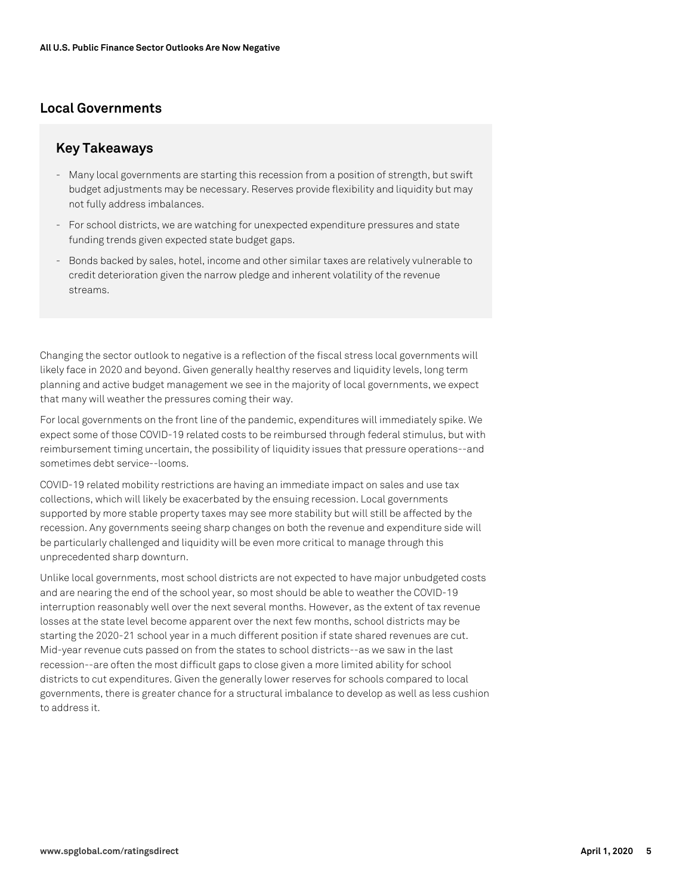# **Local Governments**

#### **Key Takeaways**

- Many local governments are starting this recession from a position of strength, but swift budget adjustments may be necessary. Reserves provide flexibility and liquidity but may not fully address imbalances.
- For school districts, we are watching for unexpected expenditure pressures and state funding trends given expected state budget gaps.
- Bonds backed by sales, hotel, income and other similar taxes are relatively vulnerable to credit deterioration given the narrow pledge and inherent volatility of the revenue streams.

Changing the sector outlook to negative is a reflection of the fiscal stress local governments will likely face in 2020 and beyond. Given generally healthy reserves and liquidity levels, long term planning and active budget management we see in the majority of local governments, we expect that many will weather the pressures coming their way.

For local governments on the front line of the pandemic, expenditures will immediately spike. We expect some of those COVID-19 related costs to be reimbursed through federal stimulus, but with reimbursement timing uncertain, the possibility of liquidity issues that pressure operations--and sometimes debt service--looms.

COVID-19 related mobility restrictions are having an immediate impact on sales and use tax collections, which will likely be exacerbated by the ensuing recession. Local governments supported by more stable property taxes may see more stability but will still be affected by the recession. Any governments seeing sharp changes on both the revenue and expenditure side will be particularly challenged and liquidity will be even more critical to manage through this unprecedented sharp downturn.

Unlike local governments, most school districts are not expected to have major unbudgeted costs and are nearing the end of the school year, so most should be able to weather the COVID-19 interruption reasonably well over the next several months. However, as the extent of tax revenue losses at the state level become apparent over the next few months, school districts may be starting the 2020-21 school year in a much different position if state shared revenues are cut. Mid-year revenue cuts passed on from the states to school districts--as we saw in the last recession--are often the most difficult gaps to close given a more limited ability for school districts to cut expenditures. Given the generally lower reserves for schools compared to local governments, there is greater chance for a structural imbalance to develop as well as less cushion to address it.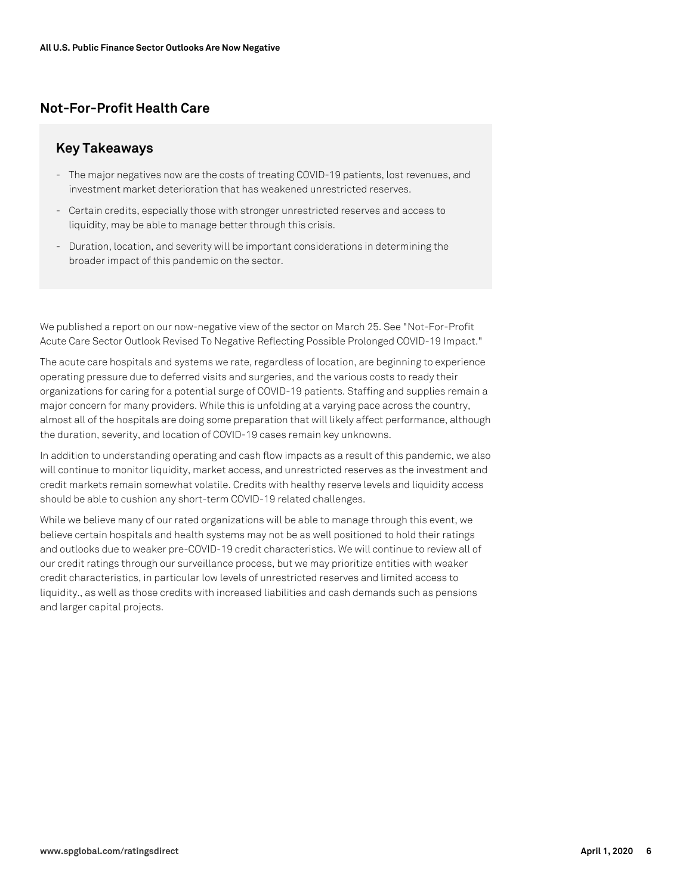# **Not-For-Profit Health Care**

#### **Key Takeaways**

- The major negatives now are the costs of treating COVID-19 patients, lost revenues, and investment market deterioration that has weakened unrestricted reserves.
- Certain credits, especially those with stronger unrestricted reserves and access to liquidity, may be able to manage better through this crisis.
- Duration, location, and severity will be important considerations in determining the broader impact of this pandemic on the sector.

We published a report on our now-negative view of the sector on March 25. See "Not-For-Profit Acute Care Sector Outlook Revised To Negative Reflecting Possible Prolonged COVID-19 Impact."

The acute care hospitals and systems we rate, regardless of location, are beginning to experience operating pressure due to deferred visits and surgeries, and the various costs to ready their organizations for caring for a potential surge of COVID-19 patients. Staffing and supplies remain a major concern for many providers. While this is unfolding at a varying pace across the country, almost all of the hospitals are doing some preparation that will likely affect performance, although the duration, severity, and location of COVID-19 cases remain key unknowns.

In addition to understanding operating and cash flow impacts as a result of this pandemic, we also will continue to monitor liquidity, market access, and unrestricted reserves as the investment and credit markets remain somewhat volatile. Credits with healthy reserve levels and liquidity access should be able to cushion any short-term COVID-19 related challenges.

While we believe many of our rated organizations will be able to manage through this event, we believe certain hospitals and health systems may not be as well positioned to hold their ratings and outlooks due to weaker pre-COVID-19 credit characteristics. We will continue to review all of our credit ratings through our surveillance process, but we may prioritize entities with weaker credit characteristics, in particular low levels of unrestricted reserves and limited access to liquidity., as well as those credits with increased liabilities and cash demands such as pensions and larger capital projects.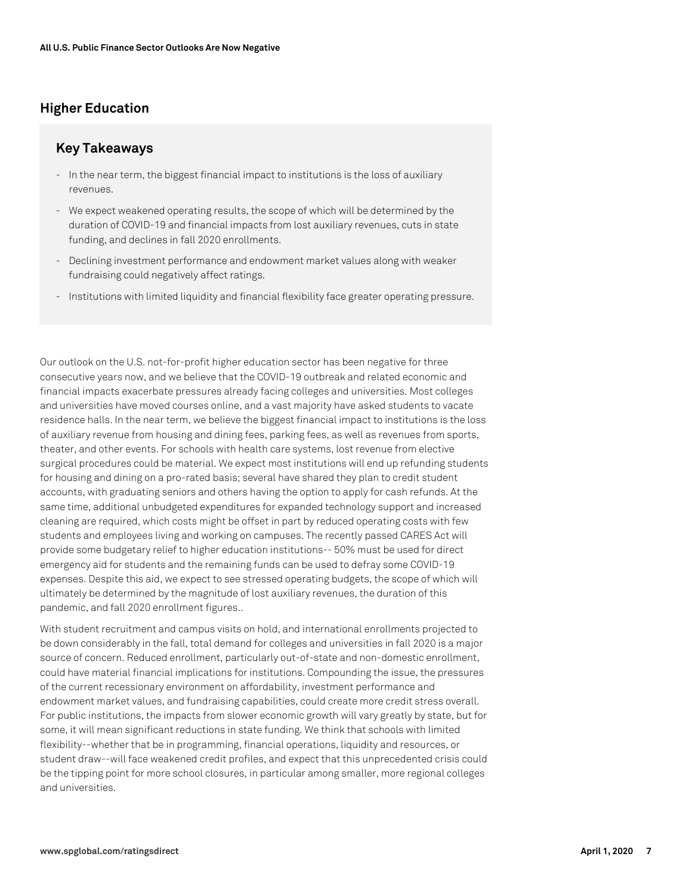# **Higher Education**

### **Key Takeaways**

- In the near term, the biggest financial impact to institutions is the loss of auxiliary revenues.
- We expect weakened operating results, the scope of which will be determined by the duration of COVID-19 and financial impacts from lost auxiliary revenues, cuts in state funding, and declines in fall 2020 enrollments.
- Declining investment performance and endowment market values along with weaker fundraising could negatively affect ratings.
- Institutions with limited liquidity and financial flexibility face greater operating pressure.

Our outlook on the U.S. not-for-profit higher education sector has been negative for three consecutive years now, and we believe that the COVID-19 outbreak and related economic and financial impacts exacerbate pressures already facing colleges and universities. Most colleges and universities have moved courses online, and a vast majority have asked students to vacate residence halls. In the near term, we believe the biggest financial impact to institutions is the loss of auxiliary revenue from housing and dining fees, parking fees, as well as revenues from sports, theater, and other events. For schools with health care systems, lost revenue from elective surgical procedures could be material. We expect most institutions will end up refunding students for housing and dining on a pro-rated basis; several have shared they plan to credit student accounts, with graduating seniors and others having the option to apply for cash refunds. At the same time, additional unbudgeted expenditures for expanded technology support and increased cleaning are required, which costs might be offset in part by reduced operating costs with few students and employees living and working on campuses. The recently passed CARES Act will provide some budgetary relief to higher education institutions-- 50% must be used for direct emergency aid for students and the remaining funds can be used to defray some COVID-19 expenses. Despite this aid, we expect to see stressed operating budgets, the scope of which will ultimately be determined by the magnitude of lost auxiliary revenues, the duration of this pandemic, and fall 2020 enrollment figures..

With student recruitment and campus visits on hold, and international enrollments projected to be down considerably in the fall, total demand for colleges and universities in fall 2020 is a major source of concern. Reduced enrollment, particularly out-of-state and non-domestic enrollment, could have material financial implications for institutions. Compounding the issue, the pressures of the current recessionary environment on affordability, investment performance and endowment market values, and fundraising capabilities, could create more credit stress overall. For public institutions, the impacts from slower economic growth will vary greatly by state, but for some, it will mean significant reductions in state funding. We think that schools with limited flexibility--whether that be in programming, financial operations, liquidity and resources, or student draw--will face weakened credit profiles, and expect that this unprecedented crisis could be the tipping point for more school closures, in particular among smaller, more regional colleges and universities.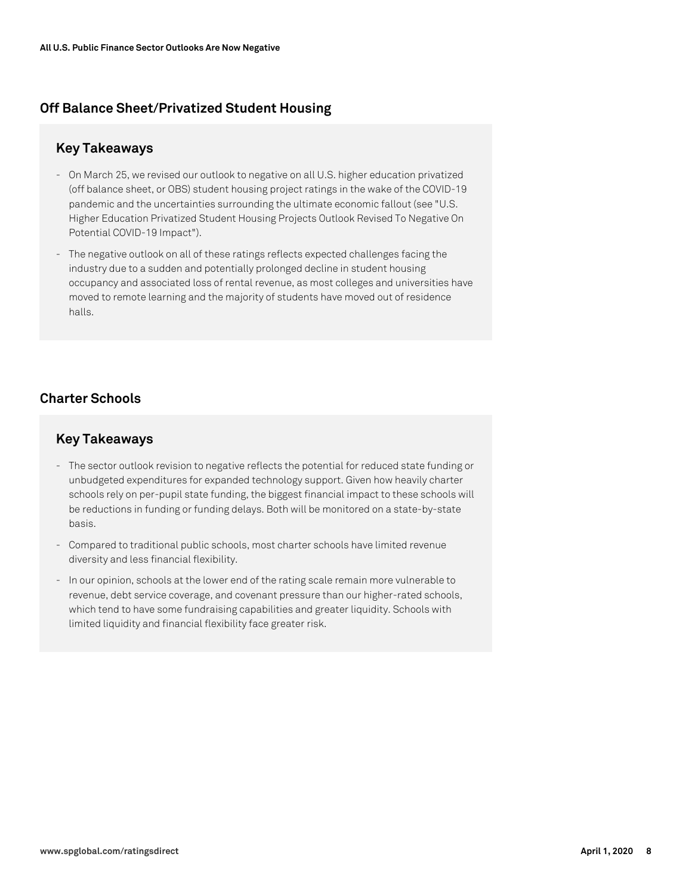# **Off Balance Sheet/Privatized Student Housing**

# **Key Takeaways**

- On March 25, we revised our outlook to negative on all U.S. higher education privatized (off balance sheet, or OBS) student housing project ratings in the wake of the COVID-19 pandemic and the uncertainties surrounding the ultimate economic fallout (see "U.S. Higher Education Privatized Student Housing Projects Outlook Revised To Negative On Potential COVID-19 Impact").
- The negative outlook on all of these ratings reflects expected challenges facing the industry due to a sudden and potentially prolonged decline in student housing occupancy and associated loss of rental revenue, as most colleges and universities have moved to remote learning and the majority of students have moved out of residence halls.

# **Charter Schools**

#### **Key Takeaways**

- The sector outlook revision to negative reflects the potential for reduced state funding or unbudgeted expenditures for expanded technology support. Given how heavily charter schools rely on per-pupil state funding, the biggest financial impact to these schools will be reductions in funding or funding delays. Both will be monitored on a state-by-state basis.
- Compared to traditional public schools, most charter schools have limited revenue diversity and less financial flexibility.
- In our opinion, schools at the lower end of the rating scale remain more vulnerable to revenue, debt service coverage, and covenant pressure than our higher-rated schools, which tend to have some fundraising capabilities and greater liquidity. Schools with limited liquidity and financial flexibility face greater risk.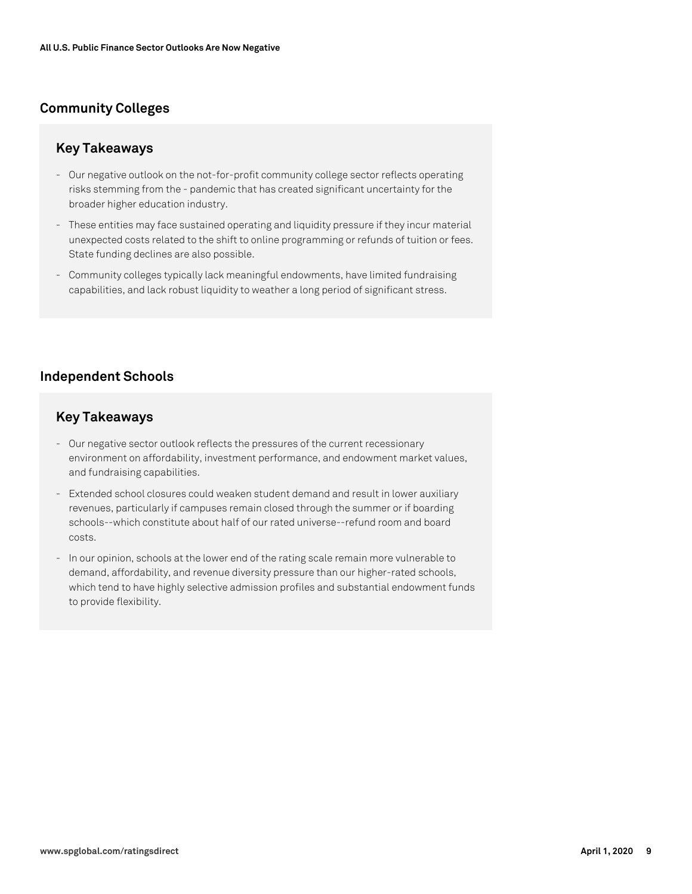# **Community Colleges**

# **Key Takeaways**

- Our negative outlook on the not-for-profit community college sector reflects operating risks stemming from the - pandemic that has created significant uncertainty for the broader higher education industry.
- These entities may face sustained operating and liquidity pressure if they incur material unexpected costs related to the shift to online programming or refunds of tuition or fees. State funding declines are also possible.
- Community colleges typically lack meaningful endowments, have limited fundraising capabilities, and lack robust liquidity to weather a long period of significant stress.

# **Independent Schools**

# **Key Takeaways**

- Our negative sector outlook reflects the pressures of the current recessionary environment on affordability, investment performance, and endowment market values, and fundraising capabilities.
- Extended school closures could weaken student demand and result in lower auxiliary revenues, particularly if campuses remain closed through the summer or if boarding schools--which constitute about half of our rated universe--refund room and board costs.
- In our opinion, schools at the lower end of the rating scale remain more vulnerable to demand, affordability, and revenue diversity pressure than our higher-rated schools, which tend to have highly selective admission profiles and substantial endowment funds to provide flexibility.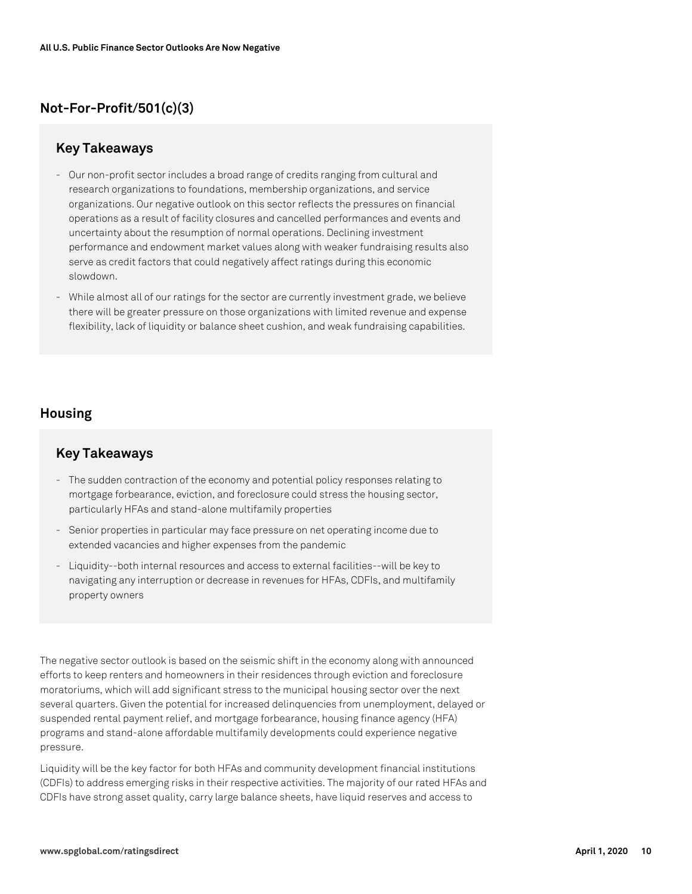# **Not-For-Profit/501(c)(3)**

### **Key Takeaways**

- Our non-profit sector includes a broad range of credits ranging from cultural and research organizations to foundations, membership organizations, and service organizations. Our negative outlook on this sector reflects the pressures on financial operations as a result of facility closures and cancelled performances and events and uncertainty about the resumption of normal operations. Declining investment performance and endowment market values along with weaker fundraising results also serve as credit factors that could negatively affect ratings during this economic slowdown.
- While almost all of our ratings for the sector are currently investment grade, we believe there will be greater pressure on those organizations with limited revenue and expense flexibility, lack of liquidity or balance sheet cushion, and weak fundraising capabilities.

# **Housing**

# **Key Takeaways**

- The sudden contraction of the economy and potential policy responses relating to mortgage forbearance, eviction, and foreclosure could stress the housing sector, particularly HFAs and stand-alone multifamily properties
- Senior properties in particular may face pressure on net operating income due to extended vacancies and higher expenses from the pandemic
- Liquidity--both internal resources and access to external facilities--will be key to navigating any interruption or decrease in revenues for HFAs, CDFIs, and multifamily property owners

The negative sector outlook is based on the seismic shift in the economy along with announced efforts to keep renters and homeowners in their residences through eviction and foreclosure moratoriums, which will add significant stress to the municipal housing sector over the next several quarters. Given the potential for increased delinquencies from unemployment, delayed or suspended rental payment relief, and mortgage forbearance, housing finance agency (HFA) programs and stand-alone affordable multifamily developments could experience negative pressure.

Liquidity will be the key factor for both HFAs and community development financial institutions (CDFIs) to address emerging risks in their respective activities. The majority of our rated HFAs and CDFIs have strong asset quality, carry large balance sheets, have liquid reserves and access to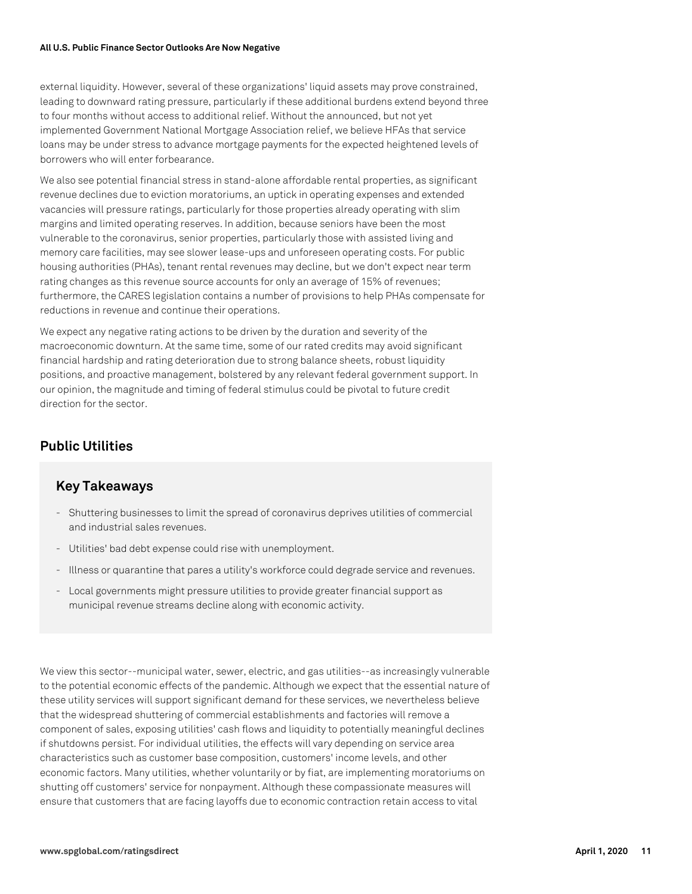#### **All U.S. Public Finance Sector Outlooks Are Now Negative**

external liquidity. However, several of these organizations' liquid assets may prove constrained, leading to downward rating pressure, particularly if these additional burdens extend beyond three to four months without access to additional relief. Without the announced, but not yet implemented Government National Mortgage Association relief, we believe HFAs that service loans may be under stress to advance mortgage payments for the expected heightened levels of borrowers who will enter forbearance.

We also see potential financial stress in stand-alone affordable rental properties, as significant revenue declines due to eviction moratoriums, an uptick in operating expenses and extended vacancies will pressure ratings, particularly for those properties already operating with slim margins and limited operating reserves. In addition, because seniors have been the most vulnerable to the coronavirus, senior properties, particularly those with assisted living and memory care facilities, may see slower lease-ups and unforeseen operating costs. For public housing authorities (PHAs), tenant rental revenues may decline, but we don't expect near term rating changes as this revenue source accounts for only an average of 15% of revenues; furthermore, the CARES legislation contains a number of provisions to help PHAs compensate for reductions in revenue and continue their operations.

We expect any negative rating actions to be driven by the duration and severity of the macroeconomic downturn. At the same time, some of our rated credits may avoid significant financial hardship and rating deterioration due to strong balance sheets, robust liquidity positions, and proactive management, bolstered by any relevant federal government support. In our opinion, the magnitude and timing of federal stimulus could be pivotal to future credit direction for the sector.

# **Public Utilities**

#### **Key Takeaways**

- Shuttering businesses to limit the spread of coronavirus deprives utilities of commercial and industrial sales revenues.
- Utilities' bad debt expense could rise with unemployment.
- Illness or quarantine that pares a utility's workforce could degrade service and revenues.
- Local governments might pressure utilities to provide greater financial support as municipal revenue streams decline along with economic activity.

We view this sector--municipal water, sewer, electric, and gas utilities--as increasingly vulnerable to the potential economic effects of the pandemic. Although we expect that the essential nature of these utility services will support significant demand for these services, we nevertheless believe that the widespread shuttering of commercial establishments and factories will remove a component of sales, exposing utilities' cash flows and liquidity to potentially meaningful declines if shutdowns persist. For individual utilities, the effects will vary depending on service area characteristics such as customer base composition, customers' income levels, and other economic factors. Many utilities, whether voluntarily or by fiat, are implementing moratoriums on shutting off customers' service for nonpayment. Although these compassionate measures will ensure that customers that are facing layoffs due to economic contraction retain access to vital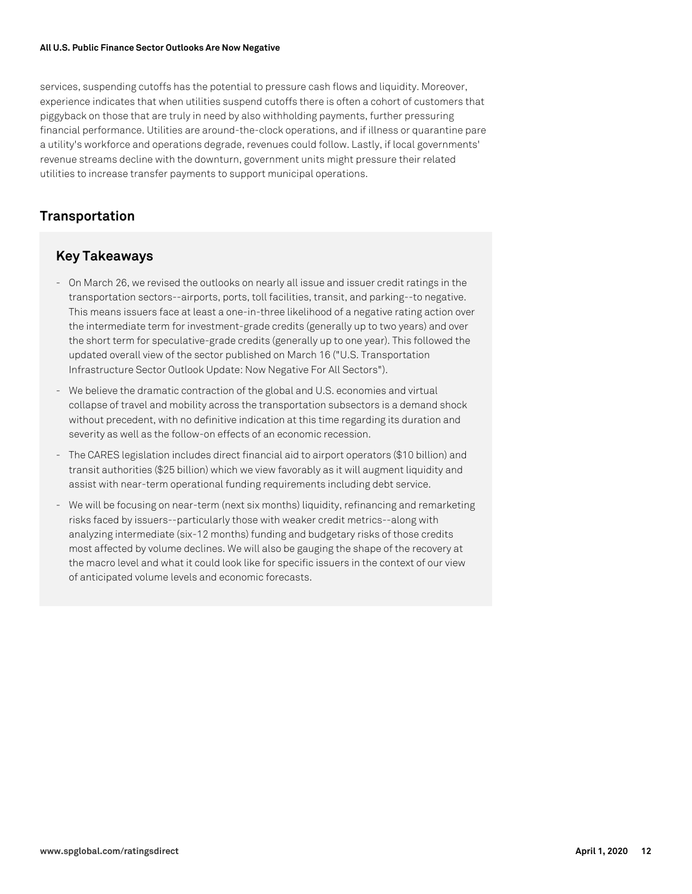#### **All U.S. Public Finance Sector Outlooks Are Now Negative**

services, suspending cutoffs has the potential to pressure cash flows and liquidity. Moreover, experience indicates that when utilities suspend cutoffs there is often a cohort of customers that piggyback on those that are truly in need by also withholding payments, further pressuring financial performance. Utilities are around-the-clock operations, and if illness or quarantine pare a utility's workforce and operations degrade, revenues could follow. Lastly, if local governments' revenue streams decline with the downturn, government units might pressure their related utilities to increase transfer payments to support municipal operations.

### **Transportation**

# **Key Takeaways**

- On March 26, we revised the outlooks on nearly all issue and issuer credit ratings in the transportation sectors--airports, ports, toll facilities, transit, and parking--to negative. This means issuers face at least a one-in-three likelihood of a negative rating action over the intermediate term for investment-grade credits (generally up to two years) and over the short term for speculative-grade credits (generally up to one year). This followed the updated overall view of the sector published on March 16 ("U.S. Transportation Infrastructure Sector Outlook Update: Now Negative For All Sectors").
- We believe the dramatic contraction of the global and U.S. economies and virtual collapse of travel and mobility across the transportation subsectors is a demand shock without precedent, with no definitive indication at this time regarding its duration and severity as well as the follow-on effects of an economic recession.
- The CARES legislation includes direct financial aid to airport operators (\$10 billion) and transit authorities (\$25 billion) which we view favorably as it will augment liquidity and assist with near-term operational funding requirements including debt service.
- We will be focusing on near-term (next six months) liquidity, refinancing and remarketing risks faced by issuers--particularly those with weaker credit metrics--along with analyzing intermediate (six-12 months) funding and budgetary risks of those credits most affected by volume declines. We will also be gauging the shape of the recovery at the macro level and what it could look like for specific issuers in the context of our view of anticipated volume levels and economic forecasts.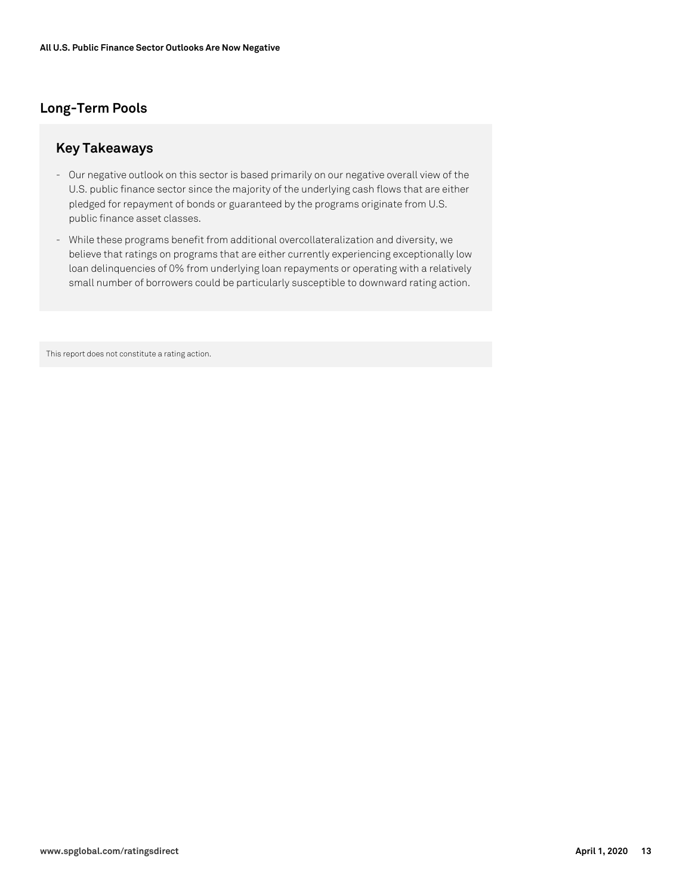# **Long-Term Pools**

### **Key Takeaways**

- Our negative outlook on this sector is based primarily on our negative overall view of the U.S. public finance sector since the majority of the underlying cash flows that are either pledged for repayment of bonds or guaranteed by the programs originate from U.S. public finance asset classes.
- While these programs benefit from additional overcollateralization and diversity, we believe that ratings on programs that are either currently experiencing exceptionally low loan delinquencies of 0% from underlying loan repayments or operating with a relatively small number of borrowers could be particularly susceptible to downward rating action.

This report does not constitute a rating action.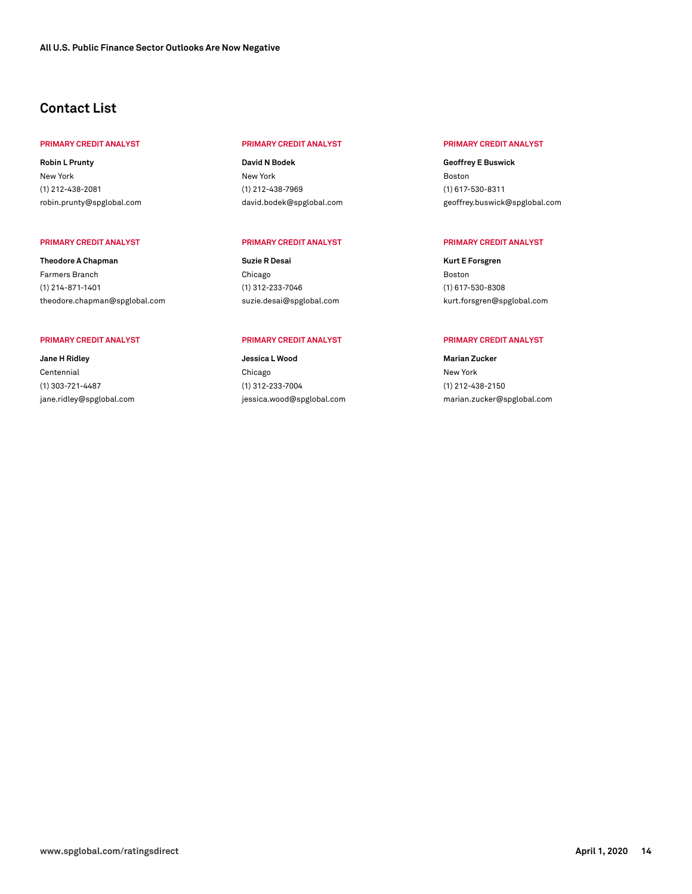## **Contact List**

#### **PRIMARY CREDIT ANALYST PRIMARY CREDIT ANALYST PRIMARY CREDIT ANALYST**

**Robin L Prunty** New York (1) 212-438-2081 [robin.prunty@spglobal.com](mailto: robin.prunty@spglobal.com)

**Theodore A Chapman** Farmers Branch (1) 214-871-1401 [theodore.chapman@spglobal.com](mailto: theodore.chapman@spglobal.com)

**Jane H Ridley** Centennial (1) 303-721-4487 [jane.ridley@spglobal.com](mailto: jane.ridley@spglobal.com)

**David N Bodek** New York (1) 212-438-7969 [david.bodek@spglobal.com](mailto: david.bodek@spglobal.com)

#### **PRIMARY CREDIT ANALYST PRIMARY CREDIT ANALYST PRIMARY CREDIT ANALYST**

**Suzie R Desai** Chicago (1) 312-233-7046 [suzie.desai@spglobal.com](mailto: suzie.desai@spglobal.com)

#### **PRIMARY CREDIT ANALYST PRIMARY CREDIT ANALYST PRIMARY CREDIT ANALYST**

**Jessica L Wood** Chicago (1) 312-233-7004 [jessica.wood@spglobal.com](mailto: jessica.wood@spglobal.com)

**Geoffrey E Buswick** Boston (1) 617-530-8311 [geoffrey.buswick@spglobal.com](mailto: geoffrey.buswick@spglobal.com)

**Kurt E Forsgren** Boston (1) 617-530-8308 [kurt.forsgren@spglobal.com](mailto: kurt.forsgren@spglobal.com)

**Marian Zucker** New York (1) 212-438-2150 [marian.zucker@spglobal.com](mailto: marian.zucker@spglobal.com)